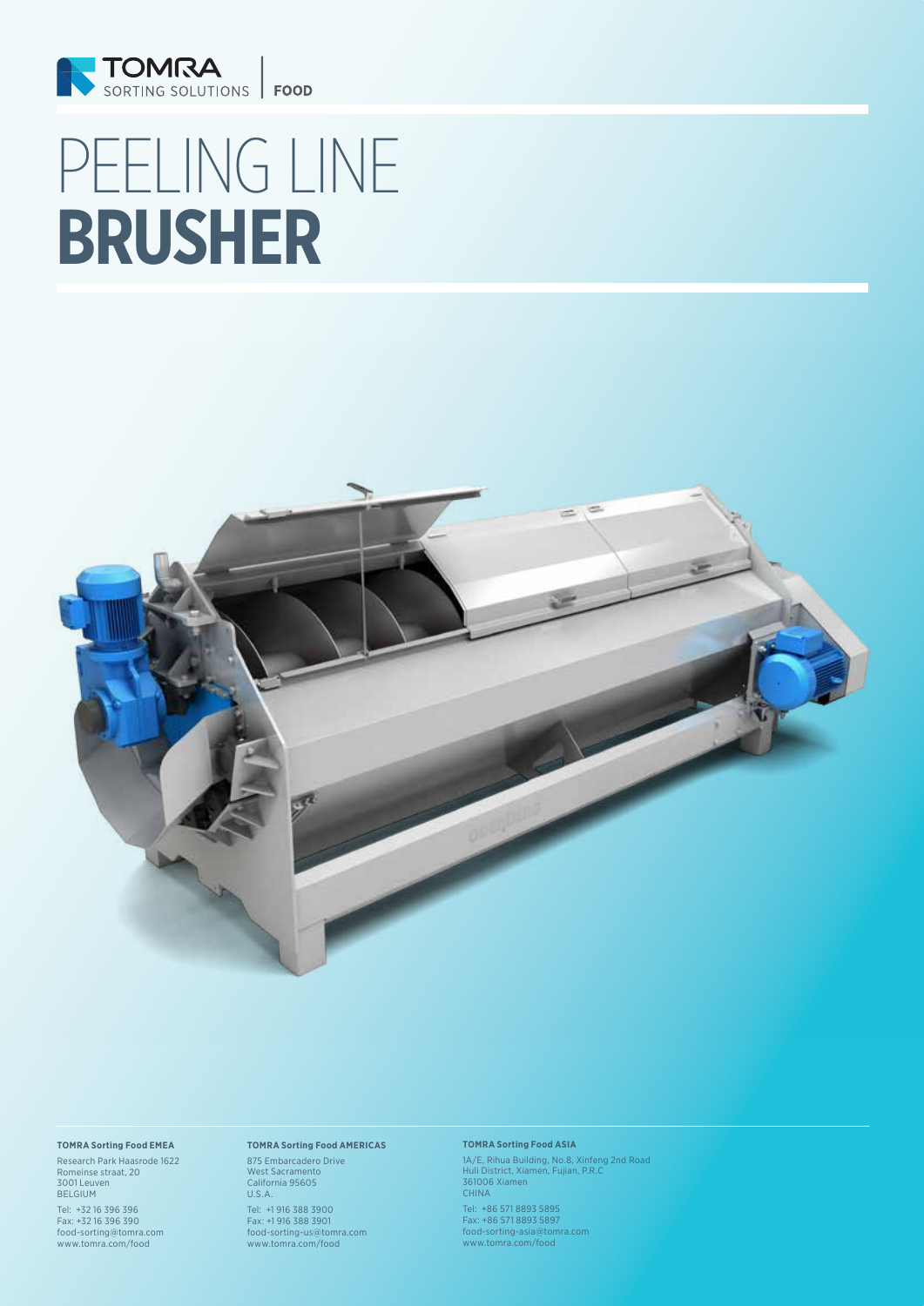

# PEELING LINE **BRUSHER**



#### **TOMRA Sorting Food EMEA**

Research Park Haasrode 1622 Romeinse straat, 20 3001 Leuven BELGIUM

Tel: +32 16 396 396 Fax: +32 16 396 390 food-sorting@tomra.com www.tomra.com/food

## **TOMRA Sorting Food AMERICAS**

875 Embarcadero Drive West Sacramento California 95605 U.S.A.

Tel: +1 916 388 3900 Fax: +1 916 388 3901 food-sorting-us@tomra.com www.tomra.com/food

#### **TOMRA Sorting Food ASIA**

1A/E, Rihua Building, No.8, Xinfeng 2nd Road Huli District, Xiamen, Fujian, P.R.C 361006 Xiamen CHINA

Tel: +86 571 8893 5895 Fax: +86 571 8893 5897 food-sorting-asia@tomra.com www.tomra.com/food